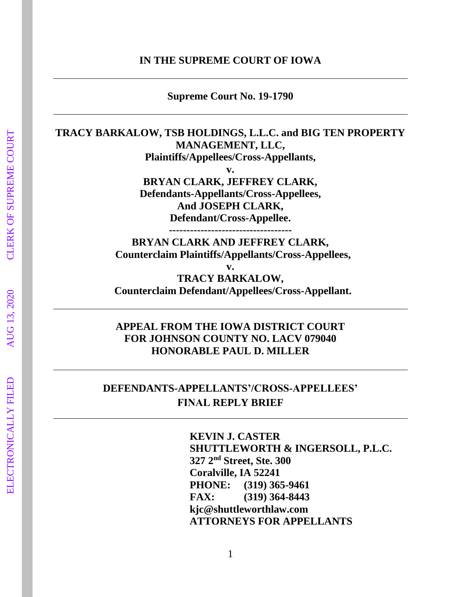#### **IN THE SUPREME COURT OF IOWA**

**Supreme Court No. 19-1790**

## **TRACY BARKALOW, TSB HOLDINGS, L.L.C. and BIG TEN PROPERTY MANAGEMENT, LLC, Plaintiffs/Appellees/Cross-Appellants,**

**v. BRYAN CLARK, JEFFREY CLARK, Defendants-Appellants/Cross-Appellees, And JOSEPH CLARK,**

**Defendant/Cross-Appellee.**

**-----------------------------------**

**BRYAN CLARK AND JEFFREY CLARK, Counterclaim Plaintiffs/Appellants/Cross-Appellees,**

**v. TRACY BARKALOW, Counterclaim Defendant/Appellees/Cross-Appellant.**

## **APPEAL FROM THE IOWA DISTRICT COURT FOR JOHNSON COUNTY NO. LACV 079040 HONORABLE PAUL D. MILLER**

# **DEFENDANTS-APPELLANTS'/CROSS-APPELLEES' FINAL REPLY BRIEF**

**KEVIN J. CASTER SHUTTLEWORTH & INGERSOLL, P.L.C. 327 2nd Street, Ste. 300 Coralville, IA 52241 PHONE: (319) 365-9461 FAX: (319) 364-8443 [kjc@shuttleworthlaw.com](mailto:kjc@shuttleworthlaw.com) ATTORNEYS FOR APPELLANTS**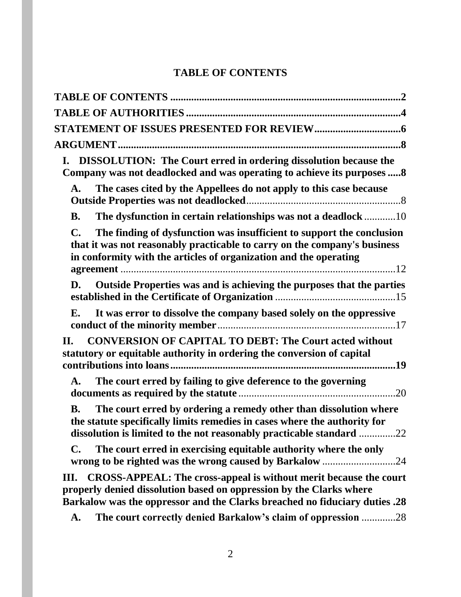# **TABLE OF CONTENTS**

| <b>DISSOLUTION:</b> The Court erred in ordering dissolution because the<br>I.<br>Company was not deadlocked and was operating to achieve its purposes  8                                                                                   |
|--------------------------------------------------------------------------------------------------------------------------------------------------------------------------------------------------------------------------------------------|
| The cases cited by the Appellees do not apply to this case because<br>A.                                                                                                                                                                   |
| The dysfunction in certain relationships was not a deadlock 10<br><b>B.</b>                                                                                                                                                                |
| The finding of dysfunction was insufficient to support the conclusion<br>$\mathbf{C}$ .<br>that it was not reasonably practicable to carry on the company's business<br>in conformity with the articles of organization and the operating  |
| D. Outside Properties was and is achieving the purposes that the parties                                                                                                                                                                   |
| It was error to dissolve the company based solely on the oppressive<br>Е.                                                                                                                                                                  |
| <b>CONVERSION OF CAPITAL TO DEBT: The Court acted without</b><br>П.<br>statutory or equitable authority in ordering the conversion of capital                                                                                              |
| The court erred by failing to give deference to the governing<br>$\mathbf{A}$ .                                                                                                                                                            |
| The court erred by ordering a remedy other than dissolution where<br><b>B.</b><br>the statute specifically limits remedies in cases where the authority for<br>dissolution is limited to the not reasonably practicable standard 22        |
| The court erred in exercising equitable authority where the only<br>$\mathbf{C}$ .<br>wrong to be righted was the wrong caused by Barkalow 24                                                                                              |
| <b>CROSS-APPEAL: The cross-appeal is without merit because the court</b><br>Ш.<br>properly denied dissolution based on oppression by the Clarks where<br><b>Barkalow was the oppressor and the Clarks breached no fiduciary duties .28</b> |
| The court correctly denied Barkalow's claim of oppression 28<br>A.                                                                                                                                                                         |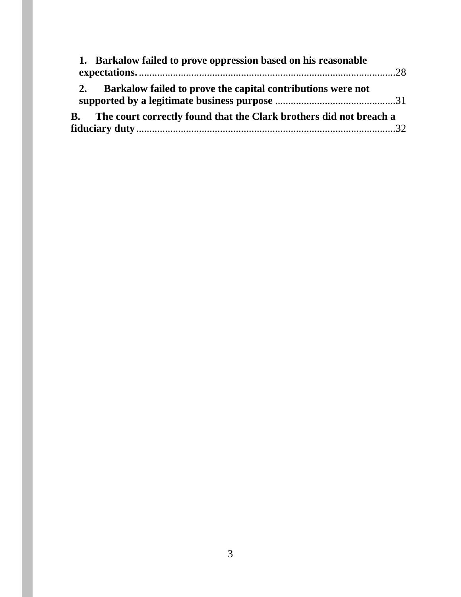| 1. Barkalow failed to prove oppression based on his reasonable               |  |
|------------------------------------------------------------------------------|--|
| Barkalow failed to prove the capital contributions were not<br>2.            |  |
| <b>B.</b> The court correctly found that the Clark brothers did not breach a |  |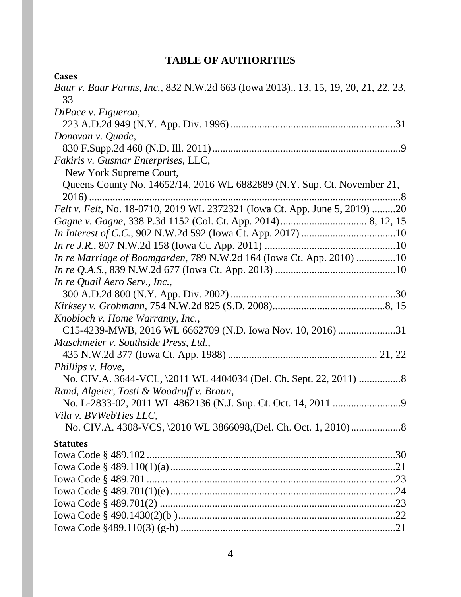# **TABLE OF AUTHORITIES**

| <b>Cases</b>                                                                     |
|----------------------------------------------------------------------------------|
| Baur v. Baur Farms, Inc., 832 N.W.2d 663 (Iowa 2013) 13, 15, 19, 20, 21, 22, 23, |
| 33                                                                               |
| DiPace v. Figueroa,                                                              |
|                                                                                  |
| Donovan v. Quade,                                                                |
|                                                                                  |
| Fakiris v. Gusmar Enterprises, LLC,                                              |
| New York Supreme Court,                                                          |
| Queens County No. 14652/14, 2016 WL 6882889 (N.Y. Sup. Ct. November 21,          |
|                                                                                  |
| Felt v. Felt, No. 18-0710, 2019 WL 2372321 (Iowa Ct. App. June 5, 2019) 20       |
|                                                                                  |
|                                                                                  |
|                                                                                  |
| In re Marriage of Boomgarden, 789 N.W.2d 164 (Iowa Ct. App. 2010) 10             |
|                                                                                  |
| In re Quail Aero Serv., Inc.,                                                    |
|                                                                                  |
|                                                                                  |
| Knobloch v. Home Warranty, Inc.,                                                 |
| C15-4239-MWB, 2016 WL 6662709 (N.D. Iowa Nov. 10, 2016) 31                       |
| Maschmeier v. Southside Press, Ltd.,                                             |
|                                                                                  |
| Phillips v. Hove,                                                                |
|                                                                                  |
| Rand, Algeier, Tosti & Woodruff v. Braun,                                        |
|                                                                                  |
| Vila v. BVWebTies LLC,                                                           |
|                                                                                  |
| <b>Statutes</b>                                                                  |
|                                                                                  |
|                                                                                  |
|                                                                                  |
|                                                                                  |
|                                                                                  |
|                                                                                  |
|                                                                                  |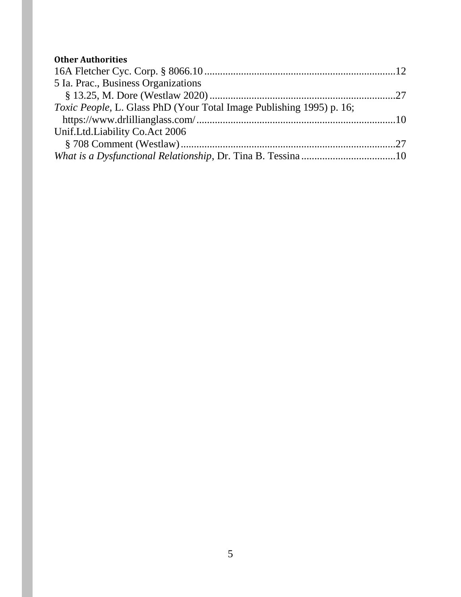# **Other Authorities**

| 5 Ia. Prac., Business Organizations                                          |  |
|------------------------------------------------------------------------------|--|
|                                                                              |  |
| <i>Toxic People</i> , L. Glass PhD (Your Total Image Publishing 1995) p. 16; |  |
|                                                                              |  |
| Unif.Ltd.Liability Co.Act 2006                                               |  |
|                                                                              |  |
| What is a Dysfunctional Relationship, Dr. Tina B. Tessina10                  |  |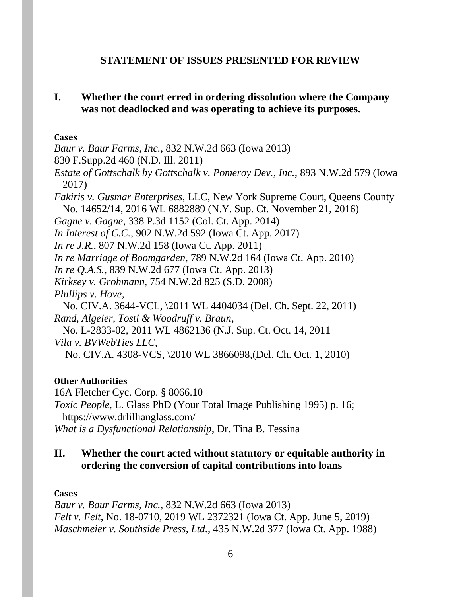#### **STATEMENT OF ISSUES PRESENTED FOR REVIEW**

## **I. Whether the court erred in ordering dissolution where the Company was not deadlocked and was operating to achieve its purposes.**

**Cases**

*Baur v. Baur Farms, Inc.*, 832 N.W.2d 663 (Iowa 2013)

830 F.Supp.2d 460 (N.D. Ill. 2011)

*Estate of Gottschalk by Gottschalk v. Pomeroy Dev., Inc.*, 893 N.W.2d 579 (Iowa 2017)

*Fakiris v. Gusmar Enterprises*, LLC, New York Supreme Court, Queens County No. 14652/14, 2016 WL 6882889 (N.Y. Sup. Ct. November 21, 2016)

*Gagne v. Gagne*, 338 P.3d 1152 (Col. Ct. App. 2014)

*In Interest of C.C.*, 902 N.W.2d 592 (Iowa Ct. App. 2017)

*In re J.R.*, 807 N.W.2d 158 (Iowa Ct. App. 2011)

*In re Marriage of Boomgarden*, 789 N.W.2d 164 (Iowa Ct. App. 2010)

*In re Q.A.S.*, 839 N.W.2d 677 (Iowa Ct. App. 2013)

*Kirksey v. Grohmann*, 754 N.W.2d 825 (S.D. 2008)

*Phillips v. Hove*,

No. CIV.A. 3644-VCL, \2011 WL 4404034 (Del. Ch. Sept. 22, 2011) *Rand, Algeier, Tosti & Woodruff v. Braun*,

No. L-2833-02, 2011 WL 4862136 (N.J. Sup. Ct. Oct. 14, 2011 *Vila v. BVWebTies LLC*,

No. CIV.A. 4308-VCS, \2010 WL 3866098,(Del. Ch. Oct. 1, 2010)

### **Other Authorities**

16A Fletcher Cyc. Corp. § 8066.10

*Toxic People*, L. Glass PhD (Your Total Image Publishing 1995) p. 16; https://www.drlillianglass.com/

*What is a Dysfunctional Relationship*, Dr. Tina B. Tessina

# **II. Whether the court acted without statutory or equitable authority in ordering the conversion of capital contributions into loans**

### **Cases**

*Baur v. Baur Farms, Inc.*, 832 N.W.2d 663 (Iowa 2013) *Felt v. Felt*, No. 18-0710, 2019 WL 2372321 (Iowa Ct. App. June 5, 2019) *Maschmeier v. Southside Press, Ltd.,* 435 N.W.2d 377 (Iowa Ct. App. 1988)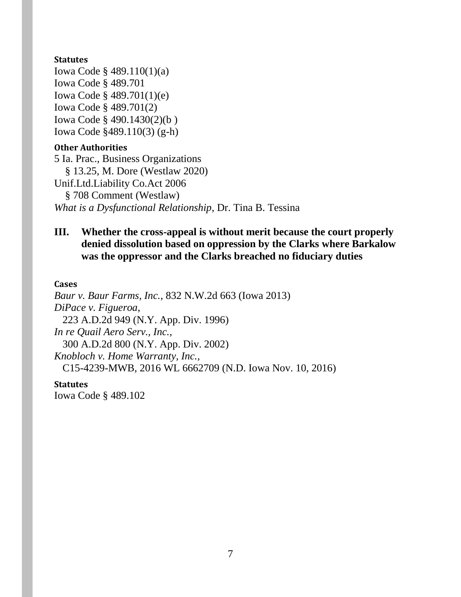#### **Statutes**

Iowa Code § 489.110(1)(a) Iowa Code § 489.701 Iowa Code § 489.701(1)(e) Iowa Code § 489.701(2) Iowa Code § 490.1430(2)(b ) Iowa Code §489.110(3) (g-h)

#### **Other Authorities**

5 Ia. Prac., Business Organizations § 13.25, M. Dore (Westlaw 2020) Unif.Ltd.Liability Co.Act 2006 § 708 Comment (Westlaw) *What is a Dysfunctional Relationship*, Dr. Tina B. Tessina

## **III. Whether the cross-appeal is without merit because the court properly denied dissolution based on oppression by the Clarks where Barkalow was the oppressor and the Clarks breached no fiduciary duties**

#### **Cases**

*Baur v. Baur Farms, Inc.*, 832 N.W.2d 663 (Iowa 2013) *DiPace v. Figueroa*, 223 A.D.2d 949 (N.Y. App. Div. 1996) *In re Quail Aero Serv., Inc.,*  300 A.D.2d 800 (N.Y. App. Div. 2002) *Knobloch v. Home Warranty, Inc.,*  C15-4239-MWB, 2016 WL 6662709 (N.D. Iowa Nov. 10, 2016)

#### **Statutes**

Iowa Code § 489.102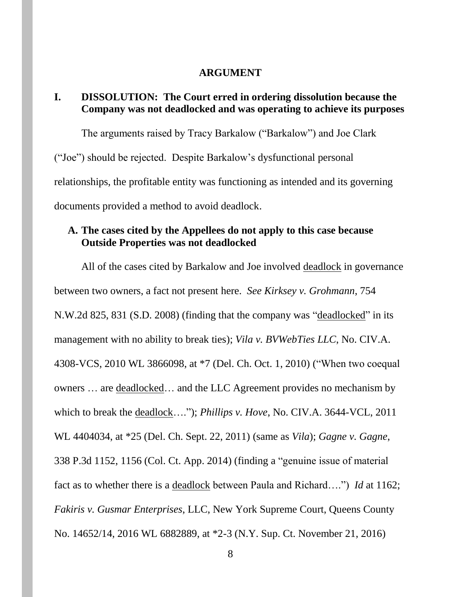#### **ARGUMENT**

## **I. DISSOLUTION: The Court erred in ordering dissolution because the Company was not deadlocked and was operating to achieve its purposes**

The arguments raised by Tracy Barkalow ("Barkalow") and Joe Clark ("Joe") should be rejected. Despite Barkalow's dysfunctional personal relationships, the profitable entity was functioning as intended and its governing documents provided a method to avoid deadlock.

### **A. The cases cited by the Appellees do not apply to this case because Outside Properties was not deadlocked**

All of the cases cited by Barkalow and Joe involved deadlock in governance between two owners, a fact not present here. *See Kirksey v. Grohmann*, 754 N.W.2d 825, 831 (S.D. 2008) (finding that the company was "deadlocked" in its management with no ability to break ties); *Vila v. BVWebTies LLC*, No. CIV.A. 4308-VCS, 2010 WL 3866098, at \*7 (Del. Ch. Oct. 1, 2010) ("When two coequal owners … are deadlocked… and the LLC Agreement provides no mechanism by which to break the deadlock…."); *Phillips v. Hove*, No. CIV.A. 3644-VCL, 2011 WL 4404034, at \*25 (Del. Ch. Sept. 22, 2011) (same as *Vila*); *Gagne v. Gagne*, 338 P.3d 1152, 1156 (Col. Ct. App. 2014) (finding a "genuine issue of material fact as to whether there is a deadlock between Paula and Richard….") *Id* at 1162; *Fakiris v. Gusmar Enterprises*, LLC, New York Supreme Court, Queens County No. 14652/14, 2016 WL 6882889, at \*2-3 (N.Y. Sup. Ct. November 21, 2016)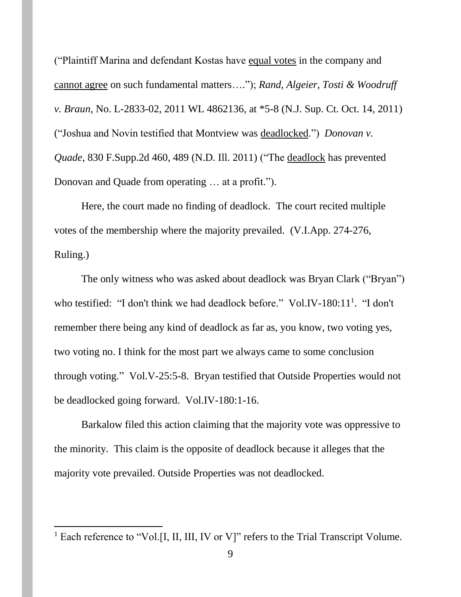("Plaintiff Marina and defendant Kostas have equal votes in the company and cannot agree on such fundamental matters…."); *Rand, Algeier, Tosti & Woodruff v. Braun*, No. L-2833-02, 2011 WL 4862136, at \*5-8 (N.J. Sup. Ct. Oct. 14, 2011) ("Joshua and Novin testified that Montview was deadlocked.") *Donovan v. Quade*, 830 F.Supp.2d 460, 489 (N.D. Ill. 2011) ("The deadlock has prevented Donovan and Quade from operating … at a profit.").

Here, the court made no finding of deadlock. The court recited multiple votes of the membership where the majority prevailed. (V.I.App. 274-276, Ruling.)

The only witness who was asked about deadlock was Bryan Clark ("Bryan") who testified: "I don't think we had deadlock before." Vol.IV-180:11<sup>1</sup>. "I don't remember there being any kind of deadlock as far as, you know, two voting yes, two voting no. I think for the most part we always came to some conclusion through voting." Vol.V-25:5-8. Bryan testified that Outside Properties would not be deadlocked going forward. Vol.IV-180:1-16.

Barkalow filed this action claiming that the majority vote was oppressive to the minority. This claim is the opposite of deadlock because it alleges that the majority vote prevailed. Outside Properties was not deadlocked.

 $\overline{\phantom{a}}$ 

<sup>&</sup>lt;sup>1</sup> Each reference to "Vol.[I, II, III, IV or V]" refers to the Trial Transcript Volume.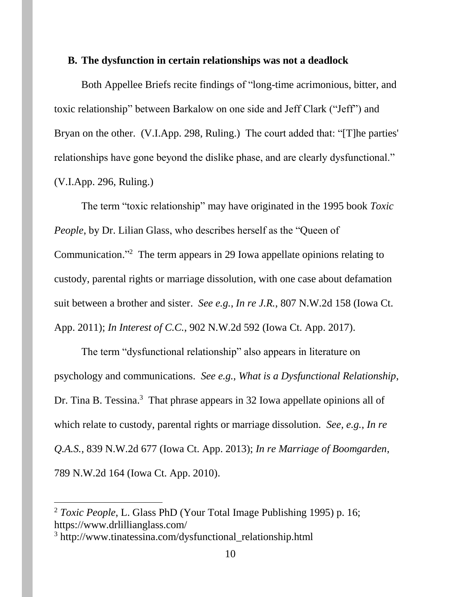#### **B. The dysfunction in certain relationships was not a deadlock**

Both Appellee Briefs recite findings of "long-time acrimonious, bitter, and toxic relationship" between Barkalow on one side and Jeff Clark ("Jeff") and Bryan on the other. (V.I.App. 298, Ruling.) The court added that: "[T]he parties' relationships have gone beyond the dislike phase, and are clearly dysfunctional." (V.I.App. 296, Ruling.)

The term "toxic relationship" may have originated in the 1995 book *Toxic People*, by Dr. Lilian Glass, who describes herself as the "Queen of Communication."<sup>2</sup> The term appears in 29 Iowa appellate opinions relating to custody, parental rights or marriage dissolution, with one case about defamation suit between a brother and sister. *See e.g.*, *In re J.R.*, 807 N.W.2d 158 (Iowa Ct. App. 2011); *In Interest of C.C.*, 902 N.W.2d 592 (Iowa Ct. App. 2017).

The term "dysfunctional relationship" also appears in literature on psychology and communications. *See e.g.*, *What is a Dysfunctional Relationship*, Dr. Tina B. Tessina.<sup>3</sup> That phrase appears in 32 Iowa appellate opinions all of which relate to custody, parental rights or marriage dissolution. *See, e.g.*, *In re Q.A.S.*, 839 N.W.2d 677 (Iowa Ct. App. 2013); *In re Marriage of Boomgarden*, 789 N.W.2d 164 (Iowa Ct. App. 2010).

 $\overline{\phantom{a}}$ 

<sup>2</sup> *Toxic People*, L. Glass PhD (Your Total Image Publishing 1995) p. 16; https://www.drlillianglass.com/

<sup>&</sup>lt;sup>3</sup> http://www.tinatessina.com/dysfunctional\_relationship.html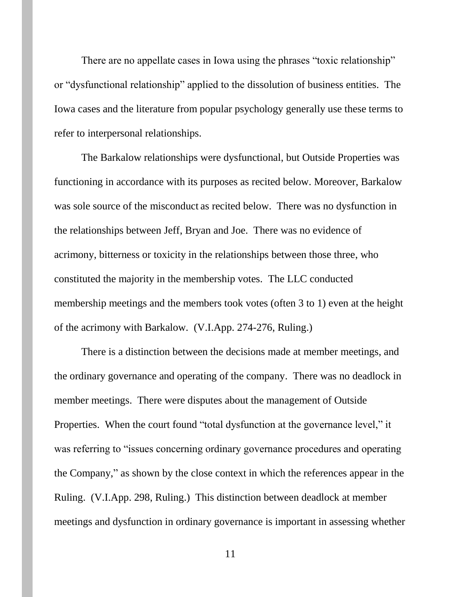There are no appellate cases in Iowa using the phrases "toxic relationship" or "dysfunctional relationship" applied to the dissolution of business entities. The Iowa cases and the literature from popular psychology generally use these terms to refer to interpersonal relationships.

The Barkalow relationships were dysfunctional, but Outside Properties was functioning in accordance with its purposes as recited below. Moreover, Barkalow was sole source of the misconduct as recited below. There was no dysfunction in the relationships between Jeff, Bryan and Joe. There was no evidence of acrimony, bitterness or toxicity in the relationships between those three, who constituted the majority in the membership votes. The LLC conducted membership meetings and the members took votes (often 3 to 1) even at the height of the acrimony with Barkalow. (V.I.App. 274-276, Ruling.)

There is a distinction between the decisions made at member meetings, and the ordinary governance and operating of the company. There was no deadlock in member meetings. There were disputes about the management of Outside Properties. When the court found "total dysfunction at the governance level," it was referring to "issues concerning ordinary governance procedures and operating the Company," as shown by the close context in which the references appear in the Ruling. (V.I.App. 298, Ruling.) This distinction between deadlock at member meetings and dysfunction in ordinary governance is important in assessing whether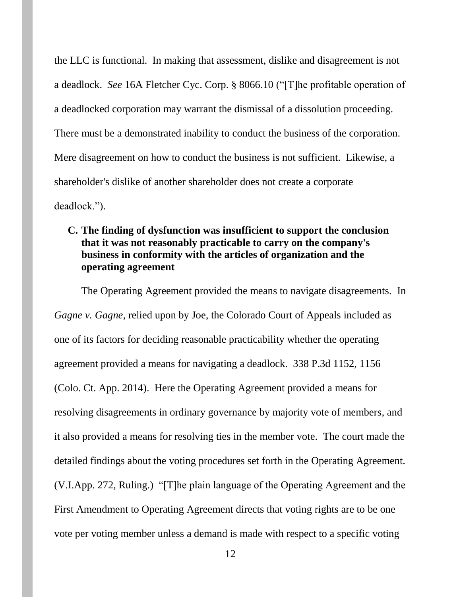the LLC is functional. In making that assessment, dislike and disagreement is not a deadlock. *See* 16A Fletcher Cyc. Corp. § 8066.10 ("[T]he profitable operation of a deadlocked corporation may warrant the dismissal of a dissolution proceeding. There must be a demonstrated inability to conduct the business of the corporation. Mere disagreement on how to conduct the business is not sufficient. Likewise, a shareholder's dislike of another shareholder does not create a corporate deadlock.").

## **C. The finding of dysfunction was insufficient to support the conclusion that it was not reasonably practicable to carry on the company's business in conformity with the articles of organization and the operating agreement**

The Operating Agreement provided the means to navigate disagreements. In *Gagne v. Gagne*, relied upon by Joe, the Colorado Court of Appeals included as one of its factors for deciding reasonable practicability whether the operating agreement provided a means for navigating a deadlock. 338 P.3d 1152, 1156 (Colo. Ct. App. 2014). Here the Operating Agreement provided a means for resolving disagreements in ordinary governance by majority vote of members, and it also provided a means for resolving ties in the member vote. The court made the detailed findings about the voting procedures set forth in the Operating Agreement. (V.I.App. 272, Ruling.) "[T]he plain language of the Operating Agreement and the First Amendment to Operating Agreement directs that voting rights are to be one vote per voting member unless a demand is made with respect to a specific voting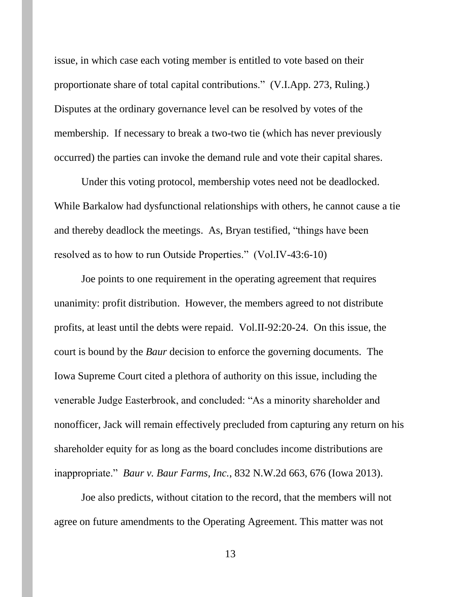issue, in which case each voting member is entitled to vote based on their proportionate share of total capital contributions." (V.I.App. 273, Ruling.) Disputes at the ordinary governance level can be resolved by votes of the membership. If necessary to break a two-two tie (which has never previously occurred) the parties can invoke the demand rule and vote their capital shares.

Under this voting protocol, membership votes need not be deadlocked. While Barkalow had dysfunctional relationships with others, he cannot cause a tie and thereby deadlock the meetings. As, Bryan testified, "things have been resolved as to how to run Outside Properties." (Vol.IV-43:6-10)

Joe points to one requirement in the operating agreement that requires unanimity: profit distribution. However, the members agreed to not distribute profits, at least until the debts were repaid. Vol.II-92:20-24. On this issue, the court is bound by the *Baur* decision to enforce the governing documents. The Iowa Supreme Court cited a plethora of authority on this issue, including the venerable Judge Easterbrook, and concluded: "As a minority shareholder and nonofficer, Jack will remain effectively precluded from capturing any return on his shareholder equity for as long as the board concludes income distributions are inappropriate." *Baur v. Baur Farms, Inc.*, 832 N.W.2d 663, 676 (Iowa 2013).

Joe also predicts, without citation to the record, that the members will not agree on future amendments to the Operating Agreement. This matter was not

13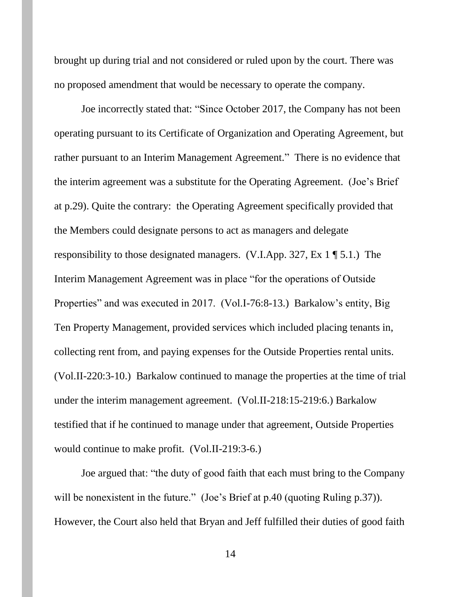brought up during trial and not considered or ruled upon by the court. There was no proposed amendment that would be necessary to operate the company.

Joe incorrectly stated that: "Since October 2017, the Company has not been operating pursuant to its Certificate of Organization and Operating Agreement, but rather pursuant to an Interim Management Agreement." There is no evidence that the interim agreement was a substitute for the Operating Agreement. (Joe's Brief at p.29). Quite the contrary: the Operating Agreement specifically provided that the Members could designate persons to act as managers and delegate responsibility to those designated managers. (V.I.App. 327, Ex 1 ¶ 5.1.) The Interim Management Agreement was in place "for the operations of Outside Properties" and was executed in 2017. (Vol.I-76:8-13.) Barkalow's entity, Big Ten Property Management, provided services which included placing tenants in, collecting rent from, and paying expenses for the Outside Properties rental units. (Vol.II-220:3-10.) Barkalow continued to manage the properties at the time of trial under the interim management agreement. (Vol.II-218:15-219:6.) Barkalow testified that if he continued to manage under that agreement, Outside Properties would continue to make profit. (Vol.II-219:3-6.)

Joe argued that: "the duty of good faith that each must bring to the Company will be nonexistent in the future." (Joe's Brief at p.40 (quoting Ruling p.37)). However, the Court also held that Bryan and Jeff fulfilled their duties of good faith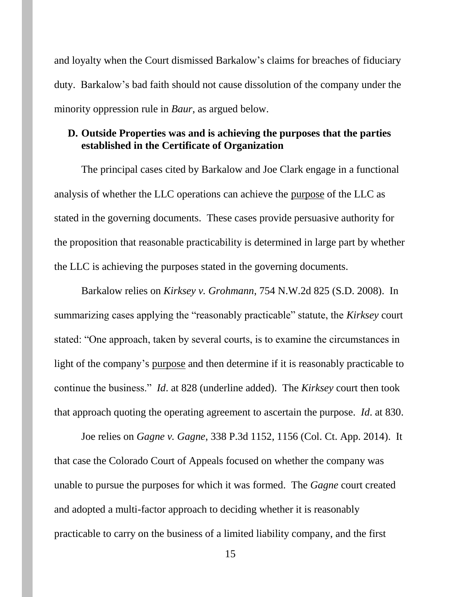and loyalty when the Court dismissed Barkalow's claims for breaches of fiduciary duty. Barkalow's bad faith should not cause dissolution of the company under the minority oppression rule in *Baur*, as argued below.

## **D. Outside Properties was and is achieving the purposes that the parties established in the Certificate of Organization**

The principal cases cited by Barkalow and Joe Clark engage in a functional analysis of whether the LLC operations can achieve the purpose of the LLC as stated in the governing documents. These cases provide persuasive authority for the proposition that reasonable practicability is determined in large part by whether the LLC is achieving the purposes stated in the governing documents.

Barkalow relies on *Kirksey v. Grohmann*, 754 N.W.2d 825 (S.D. 2008). In summarizing cases applying the "reasonably practicable" statute, the *Kirksey* court stated: "One approach, taken by several courts, is to examine the circumstances in light of the company's purpose and then determine if it is reasonably practicable to continue the business." *Id*. at 828 (underline added). The *Kirksey* court then took that approach quoting the operating agreement to ascertain the purpose. *Id*. at 830.

Joe relies on *Gagne v. Gagne*, 338 P.3d 1152, 1156 (Col. Ct. App. 2014). It that case the Colorado Court of Appeals focused on whether the company was unable to pursue the purposes for which it was formed. The *Gagne* court created and adopted a multi-factor approach to deciding whether it is reasonably practicable to carry on the business of a limited liability company, and the first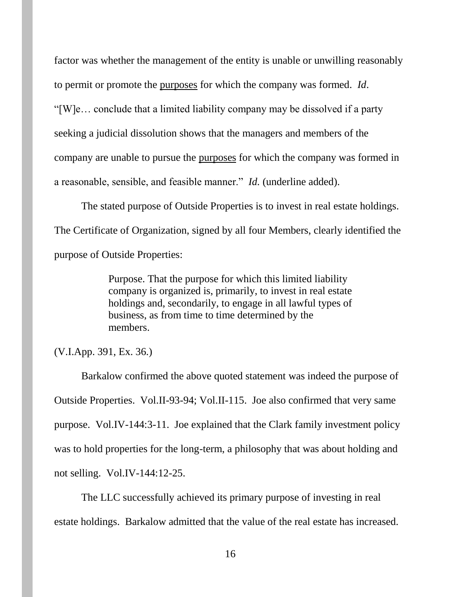factor was whether the management of the entity is unable or unwilling reasonably to permit or promote the purposes for which the company was formed. *Id*. "[W]e… conclude that a limited liability company may be dissolved if a party seeking a judicial dissolution shows that the managers and members of the company are unable to pursue the purposes for which the company was formed in a reasonable, sensible, and feasible manner." *Id.* (underline added).

The stated purpose of Outside Properties is to invest in real estate holdings. The Certificate of Organization, signed by all four Members, clearly identified the purpose of Outside Properties:

> Purpose. That the purpose for which this limited liability company is organized is, primarily, to invest in real estate holdings and, secondarily, to engage in all lawful types of business, as from time to time determined by the members.

(V.I.App. 391, Ex. 36.)

Barkalow confirmed the above quoted statement was indeed the purpose of Outside Properties. Vol.II-93-94; Vol.II-115. Joe also confirmed that very same purpose. Vol.IV-144:3-11. Joe explained that the Clark family investment policy was to hold properties for the long-term, a philosophy that was about holding and not selling. Vol.IV-144:12-25.

The LLC successfully achieved its primary purpose of investing in real estate holdings. Barkalow admitted that the value of the real estate has increased.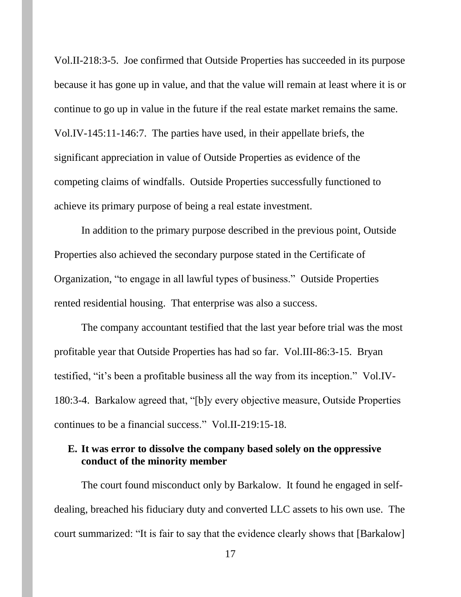Vol.II-218:3-5. Joe confirmed that Outside Properties has succeeded in its purpose because it has gone up in value, and that the value will remain at least where it is or continue to go up in value in the future if the real estate market remains the same. Vol.IV-145:11-146:7. The parties have used, in their appellate briefs, the significant appreciation in value of Outside Properties as evidence of the competing claims of windfalls. Outside Properties successfully functioned to achieve its primary purpose of being a real estate investment.

In addition to the primary purpose described in the previous point, Outside Properties also achieved the secondary purpose stated in the Certificate of Organization, "to engage in all lawful types of business." Outside Properties rented residential housing. That enterprise was also a success.

The company accountant testified that the last year before trial was the most profitable year that Outside Properties has had so far. Vol.III-86:3-15. Bryan testified, "it's been a profitable business all the way from its inception." Vol.IV-180:3-4. Barkalow agreed that, "[b]y every objective measure, Outside Properties continues to be a financial success." Vol.II-219:15-18.

## **E. It was error to dissolve the company based solely on the oppressive conduct of the minority member**

The court found misconduct only by Barkalow. It found he engaged in selfdealing, breached his fiduciary duty and converted LLC assets to his own use. The court summarized: "It is fair to say that the evidence clearly shows that [Barkalow]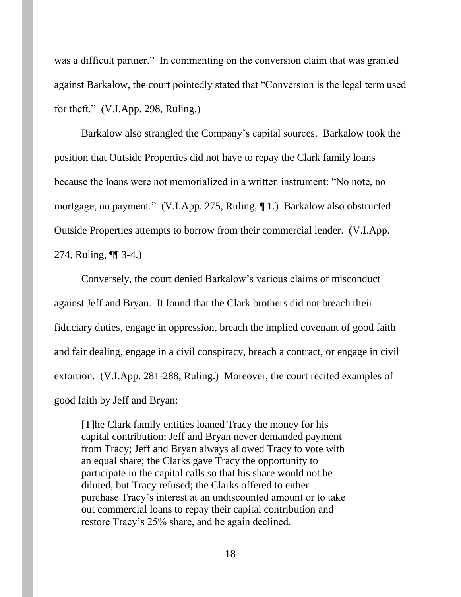was a difficult partner." In commenting on the conversion claim that was granted against Barkalow, the court pointedly stated that "Conversion is the legal term used for theft." (V.I.App. 298, Ruling.)

Barkalow also strangled the Company's capital sources. Barkalow took the position that Outside Properties did not have to repay the Clark family loans because the loans were not memorialized in a written instrument: "No note, no mortgage, no payment." (V.I.App. 275, Ruling, ¶ 1.) Barkalow also obstructed Outside Properties attempts to borrow from their commercial lender. (V.I.App. 274, Ruling, ¶¶ 3-4.)

Conversely, the court denied Barkalow's various claims of misconduct against Jeff and Bryan. It found that the Clark brothers did not breach their fiduciary duties, engage in oppression, breach the implied covenant of good faith and fair dealing, engage in a civil conspiracy, breach a contract, or engage in civil extortion. (V.I.App. 281-288, Ruling.) Moreover, the court recited examples of good faith by Jeff and Bryan:

[T]he Clark family entities loaned Tracy the money for his capital contribution; Jeff and Bryan never demanded payment from Tracy; Jeff and Bryan always allowed Tracy to vote with an equal share; the Clarks gave Tracy the opportunity to participate in the capital calls so that his share would not be diluted, but Tracy refused; the Clarks offered to either purchase Tracy's interest at an undiscounted amount or to take out commercial loans to repay their capital contribution and restore Tracy's 25% share, and he again declined.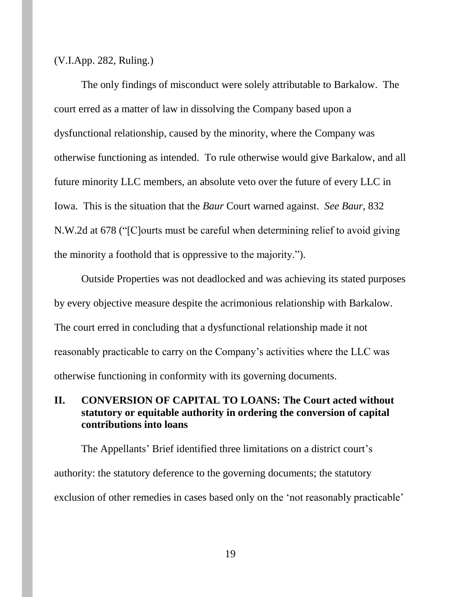(V.I.App. 282, Ruling.)

The only findings of misconduct were solely attributable to Barkalow. The court erred as a matter of law in dissolving the Company based upon a dysfunctional relationship, caused by the minority, where the Company was otherwise functioning as intended. To rule otherwise would give Barkalow, and all future minority LLC members, an absolute veto over the future of every LLC in Iowa. This is the situation that the *Baur* Court warned against. *See Baur*, 832 N.W.2d at 678 ("[C]ourts must be careful when determining relief to avoid giving the minority a foothold that is oppressive to the majority.").

Outside Properties was not deadlocked and was achieving its stated purposes by every objective measure despite the acrimonious relationship with Barkalow. The court erred in concluding that a dysfunctional relationship made it not reasonably practicable to carry on the Company's activities where the LLC was otherwise functioning in conformity with its governing documents.

## **II. CONVERSION OF CAPITAL TO LOANS: The Court acted without statutory or equitable authority in ordering the conversion of capital contributions into loans**

The Appellants' Brief identified three limitations on a district court's authority: the statutory deference to the governing documents; the statutory exclusion of other remedies in cases based only on the 'not reasonably practicable'

19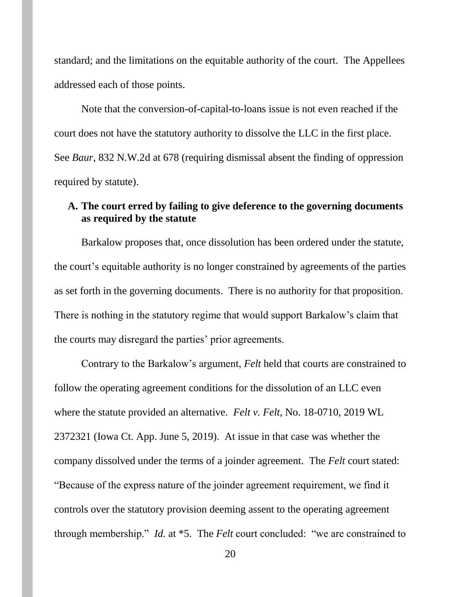standard; and the limitations on the equitable authority of the court. The Appellees addressed each of those points.

Note that the conversion-of-capital-to-loans issue is not even reached if the court does not have the statutory authority to dissolve the LLC in the first place. See *Baur*, 832 N.W.2d at 678 (requiring dismissal absent the finding of oppression required by statute).

## **A. The court erred by failing to give deference to the governing documents as required by the statute**

Barkalow proposes that, once dissolution has been ordered under the statute, the court's equitable authority is no longer constrained by agreements of the parties as set forth in the governing documents. There is no authority for that proposition. There is nothing in the statutory regime that would support Barkalow's claim that the courts may disregard the parties' prior agreements.

Contrary to the Barkalow's argument, *Felt* held that courts are constrained to follow the operating agreement conditions for the dissolution of an LLC even where the statute provided an alternative. *Felt v. Felt*, No. 18-0710, 2019 WL 2372321 (Iowa Ct. App. June 5, 2019). At issue in that case was whether the company dissolved under the terms of a joinder agreement. The *Felt* court stated: "Because of the express nature of the joinder agreement requirement, we find it controls over the statutory provision deeming assent to the operating agreement through membership." *Id.* at \*5. The *Felt* court concluded: "we are constrained to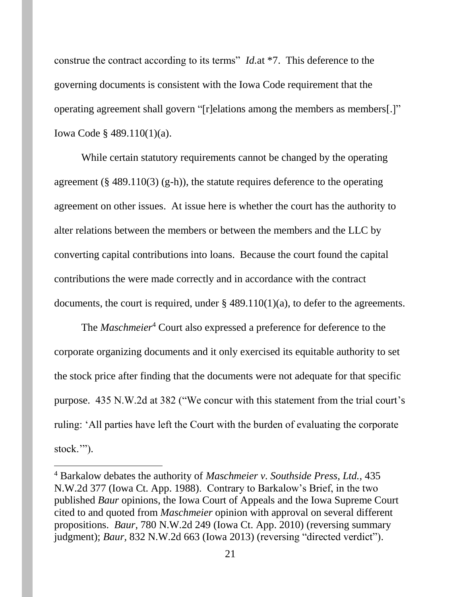construe the contract according to its terms" *Id.*at \*7. This deference to the governing documents is consistent with the Iowa Code requirement that the operating agreement shall govern "[r]elations among the members as members[.]" Iowa Code § 489.110(1)(a).

While certain statutory requirements cannot be changed by the operating agreement ( $\S$  489.110(3) (g-h)), the statute requires deference to the operating agreement on other issues. At issue here is whether the court has the authority to alter relations between the members or between the members and the LLC by converting capital contributions into loans. Because the court found the capital contributions the were made correctly and in accordance with the contract documents, the court is required, under § 489.110(1)(a), to defer to the agreements.

The *Maschmeier*<sup>4</sup> Court also expressed a preference for deference to the corporate organizing documents and it only exercised its equitable authority to set the stock price after finding that the documents were not adequate for that specific purpose. 435 N.W.2d at 382 ("We concur with this statement from the trial court's ruling: 'All parties have left the Court with the burden of evaluating the corporate stock."").

 $\overline{a}$ 

<sup>4</sup> Barkalow debates the authority of *Maschmeier v. Southside Press, Ltd.,* 435 N.W.2d 377 (Iowa Ct. App. 1988). Contrary to Barkalow's Brief, in the two published *Baur* opinions, the Iowa Court of Appeals and the Iowa Supreme Court cited to and quoted from *Maschmeier* opinion with approval on several different propositions. *Baur*, 780 N.W.2d 249 (Iowa Ct. App. 2010) (reversing summary judgment); *Baur,* 832 N.W.2d 663 (Iowa 2013) (reversing "directed verdict").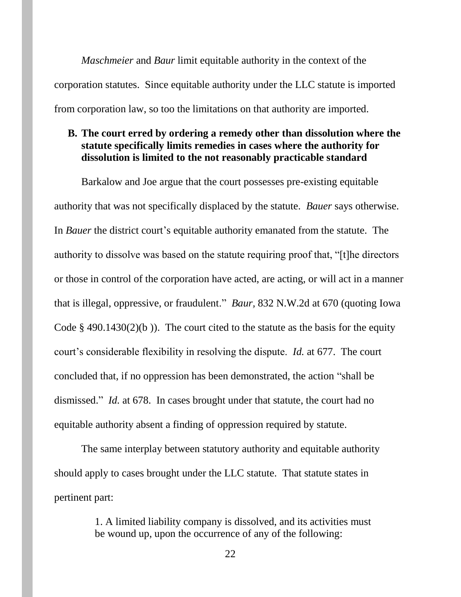*Maschmeier* and *Baur* limit equitable authority in the context of the corporation statutes. Since equitable authority under the LLC statute is imported from corporation law, so too the limitations on that authority are imported.

## **B. The court erred by ordering a remedy other than dissolution where the statute specifically limits remedies in cases where the authority for dissolution is limited to the not reasonably practicable standard**

Barkalow and Joe argue that the court possesses pre-existing equitable authority that was not specifically displaced by the statute. *Bauer* says otherwise. In *Bauer* the district court's equitable authority emanated from the statute. The authority to dissolve was based on the statute requiring proof that, "[t]he directors or those in control of the corporation have acted, are acting, or will act in a manner that is illegal, oppressive, or fraudulent." *Baur,* 832 N.W.2d at 670 (quoting Iowa Code  $\S$  490.1430(2)(b)). The court cited to the statute as the basis for the equity court's considerable flexibility in resolving the dispute. *Id.* at 677. The court concluded that, if no oppression has been demonstrated, the action "shall be dismissed." *Id.* at 678. In cases brought under that statute, the court had no equitable authority absent a finding of oppression required by statute.

The same interplay between statutory authority and equitable authority should apply to cases brought under the LLC statute. That statute states in pertinent part:

> 1. A limited liability company is dissolved, and its activities must be wound up, upon the occurrence of any of the following: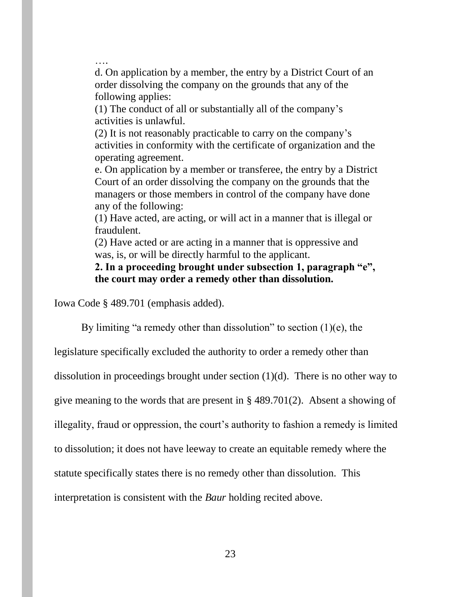…. d. On application by a member, the entry by a District Court of an order dissolving the company on the grounds that any of the following applies:

(1) The conduct of all or substantially all of the company's activities is unlawful.

(2) It is not reasonably practicable to carry on the company's activities in conformity with the certificate of organization and the operating agreement.

e. On application by a member or transferee, the entry by a District Court of an order dissolving the company on the grounds that the managers or those members in control of the company have done any of the following:

(1) Have acted, are acting, or will act in a manner that is illegal or fraudulent.

(2) Have acted or are acting in a manner that is oppressive and was, is, or will be directly harmful to the applicant.

**2. In a proceeding brought under subsection 1, paragraph "e", the court may order a remedy other than dissolution.**

Iowa Code § 489.701 (emphasis added).

By limiting "a remedy other than dissolution" to section  $(1)(e)$ , the

legislature specifically excluded the authority to order a remedy other than

dissolution in proceedings brought under section  $(1)(d)$ . There is no other way to

give meaning to the words that are present in § 489.701(2). Absent a showing of

illegality, fraud or oppression, the court's authority to fashion a remedy is limited

to dissolution; it does not have leeway to create an equitable remedy where the

statute specifically states there is no remedy other than dissolution. This

interpretation is consistent with the *Baur* holding recited above.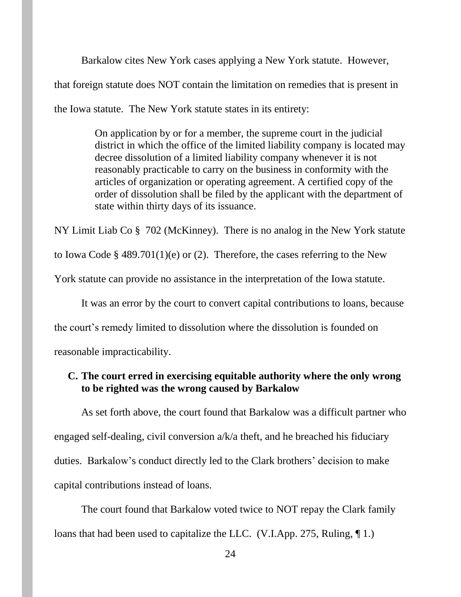Barkalow cites New York cases applying a New York statute. However, that foreign statute does NOT contain the limitation on remedies that is present in the Iowa statute. The New York statute states in its entirety:

> On application by or for a member, the supreme court in the judicial district in which the office of the limited liability company is located may decree dissolution of a limited liability company whenever it is not reasonably practicable to carry on the business in conformity with the articles of organization or operating agreement. A certified copy of the order of dissolution shall be filed by the applicant with the department of state within thirty days of its issuance.

NY Limit Liab Co § 702 (McKinney). There is no analog in the New York statute to Iowa Code § 489.701(1)(e) or (2). Therefore, the cases referring to the New York statute can provide no assistance in the interpretation of the Iowa statute.

It was an error by the court to convert capital contributions to loans, because the court's remedy limited to dissolution where the dissolution is founded on reasonable impracticability.

# **C. The court erred in exercising equitable authority where the only wrong to be righted was the wrong caused by Barkalow**

As set forth above, the court found that Barkalow was a difficult partner who engaged self-dealing, civil conversion a/k/a theft, and he breached his fiduciary duties. Barkalow's conduct directly led to the Clark brothers' decision to make capital contributions instead of loans.

The court found that Barkalow voted twice to NOT repay the Clark family loans that had been used to capitalize the LLC. (V.I.App. 275, Ruling, 1.)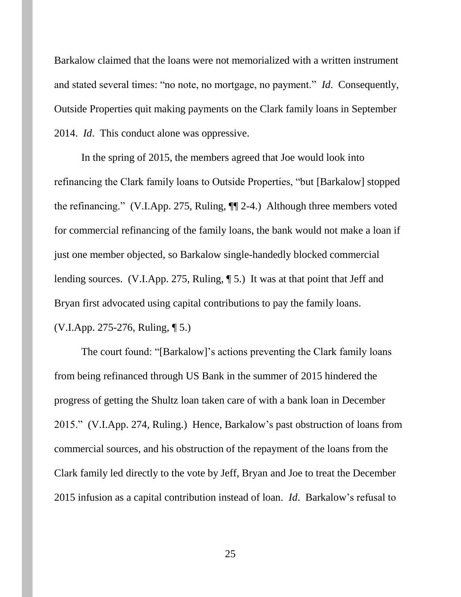Barkalow claimed that the loans were not memorialized with a written instrument and stated several times: "no note, no mortgage, no payment." *Id*. Consequently, Outside Properties quit making payments on the Clark family loans in September 2014. *Id*. This conduct alone was oppressive.

In the spring of 2015, the members agreed that Joe would look into refinancing the Clark family loans to Outside Properties, "but [Barkalow] stopped the refinancing." (V.I.App. 275, Ruling, ¶¶ 2-4.) Although three members voted for commercial refinancing of the family loans, the bank would not make a loan if just one member objected, so Barkalow single-handedly blocked commercial lending sources. (V.I.App. 275, Ruling, ¶ 5.) It was at that point that Jeff and Bryan first advocated using capital contributions to pay the family loans. (V.I.App. 275-276, Ruling, ¶ 5.)

The court found: "[Barkalow]'s actions preventing the Clark family loans from being refinanced through US Bank in the summer of 2015 hindered the progress of getting the Shultz loan taken care of with a bank loan in December 2015." (V.I.App. 274, Ruling.) Hence, Barkalow's past obstruction of loans from commercial sources, and his obstruction of the repayment of the loans from the Clark family led directly to the vote by Jeff, Bryan and Joe to treat the December 2015 infusion as a capital contribution instead of loan. *Id*. Barkalow's refusal to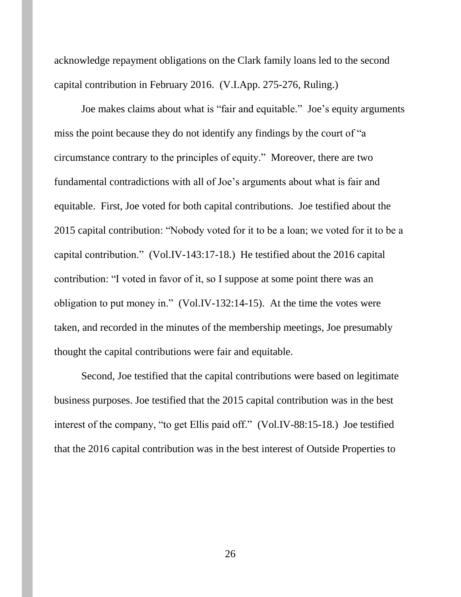acknowledge repayment obligations on the Clark family loans led to the second capital contribution in February 2016. (V.I.App. 275-276, Ruling.)

Joe makes claims about what is "fair and equitable." Joe's equity arguments miss the point because they do not identify any findings by the court of "a circumstance contrary to the principles of equity." Moreover, there are two fundamental contradictions with all of Joe's arguments about what is fair and equitable. First, Joe voted for both capital contributions. Joe testified about the 2015 capital contribution: "Nobody voted for it to be a loan; we voted for it to be a capital contribution." (Vol.IV-143:17-18.) He testified about the 2016 capital contribution: "I voted in favor of it, so I suppose at some point there was an obligation to put money in." (Vol.IV-132:14-15). At the time the votes were taken, and recorded in the minutes of the membership meetings, Joe presumably thought the capital contributions were fair and equitable.

Second, Joe testified that the capital contributions were based on legitimate business purposes. Joe testified that the 2015 capital contribution was in the best interest of the company, "to get Ellis paid off." (Vol.IV-88:15-18.) Joe testified that the 2016 capital contribution was in the best interest of Outside Properties to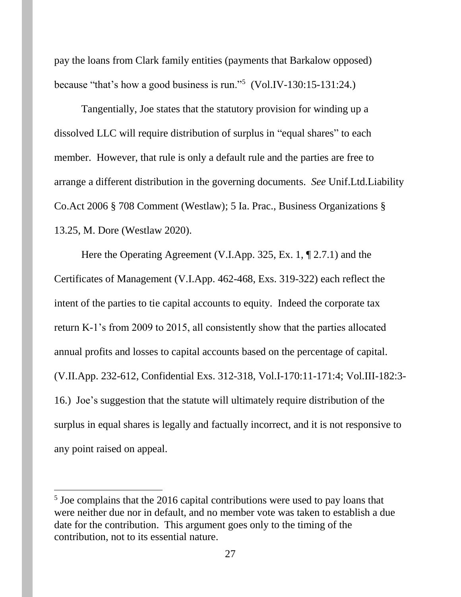pay the loans from Clark family entities (payments that Barkalow opposed) because "that's how a good business is run."<sup>5</sup> (Vol.IV-130:15-131:24.)

Tangentially, Joe states that the statutory provision for winding up a dissolved LLC will require distribution of surplus in "equal shares" to each member. However, that rule is only a default rule and the parties are free to arrange a different distribution in the governing documents. *See* Unif.Ltd.Liability Co.Act 2006 § 708 Comment (Westlaw); 5 Ia. Prac., Business Organizations § 13.25, M. Dore (Westlaw 2020).

Here the Operating Agreement (V.I.App. 325, Ex. 1, ¶ 2.7.1) and the Certificates of Management (V.I.App. 462-468, Exs. 319-322) each reflect the intent of the parties to tie capital accounts to equity. Indeed the corporate tax return K-1's from 2009 to 2015, all consistently show that the parties allocated annual profits and losses to capital accounts based on the percentage of capital. (V.II.App. 232-612, Confidential Exs. 312-318, Vol.I-170:11-171:4; Vol.III-182:3- 16.) Joe's suggestion that the statute will ultimately require distribution of the surplus in equal shares is legally and factually incorrect, and it is not responsive to any point raised on appeal.

 $\overline{\phantom{a}}$ 

<sup>&</sup>lt;sup>5</sup> Joe complains that the 2016 capital contributions were used to pay loans that were neither due nor in default, and no member vote was taken to establish a due date for the contribution. This argument goes only to the timing of the contribution, not to its essential nature.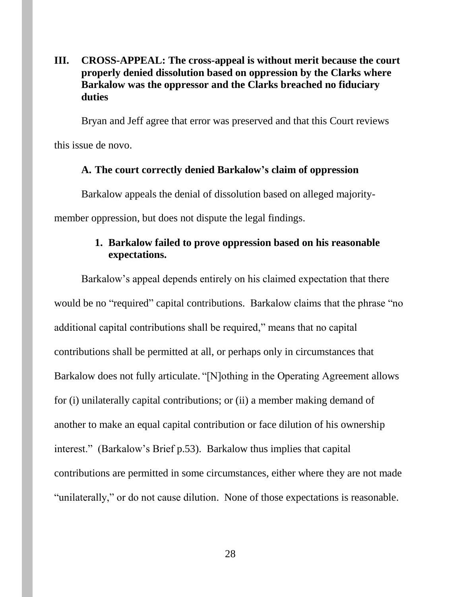## **III. CROSS-APPEAL: The cross-appeal is without merit because the court properly denied dissolution based on oppression by the Clarks where Barkalow was the oppressor and the Clarks breached no fiduciary duties**

Bryan and Jeff agree that error was preserved and that this Court reviews

this issue de novo.

#### **A. The court correctly denied Barkalow's claim of oppression**

Barkalow appeals the denial of dissolution based on alleged majority-

member oppression, but does not dispute the legal findings.

## **1. Barkalow failed to prove oppression based on his reasonable expectations.**

Barkalow's appeal depends entirely on his claimed expectation that there would be no "required" capital contributions. Barkalow claims that the phrase "no additional capital contributions shall be required," means that no capital contributions shall be permitted at all, or perhaps only in circumstances that Barkalow does not fully articulate. "[N]othing in the Operating Agreement allows for (i) unilaterally capital contributions; or (ii) a member making demand of another to make an equal capital contribution or face dilution of his ownership interest." (Barkalow's Brief p.53). Barkalow thus implies that capital contributions are permitted in some circumstances, either where they are not made "unilaterally," or do not cause dilution. None of those expectations is reasonable.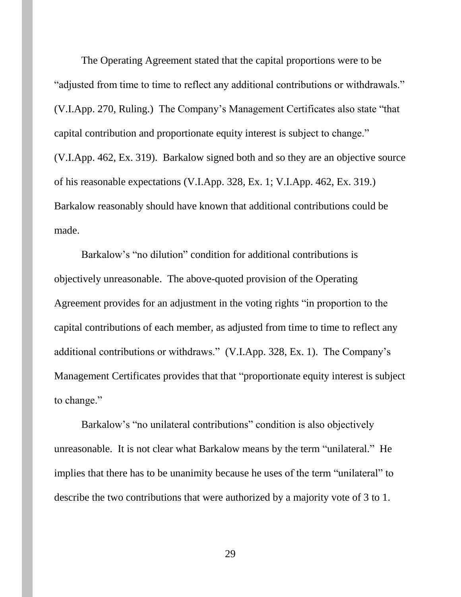The Operating Agreement stated that the capital proportions were to be "adjusted from time to time to reflect any additional contributions or withdrawals." (V.I.App. 270, Ruling.) The Company's Management Certificates also state "that capital contribution and proportionate equity interest is subject to change." (V.I.App. 462, Ex. 319). Barkalow signed both and so they are an objective source of his reasonable expectations (V.I.App. 328, Ex. 1; V.I.App. 462, Ex. 319.) Barkalow reasonably should have known that additional contributions could be made.

Barkalow's "no dilution" condition for additional contributions is objectively unreasonable. The above-quoted provision of the Operating Agreement provides for an adjustment in the voting rights "in proportion to the capital contributions of each member, as adjusted from time to time to reflect any additional contributions or withdraws." (V.I.App. 328, Ex. 1). The Company's Management Certificates provides that that "proportionate equity interest is subject to change."

Barkalow's "no unilateral contributions" condition is also objectively unreasonable. It is not clear what Barkalow means by the term "unilateral." He implies that there has to be unanimity because he uses of the term "unilateral" to describe the two contributions that were authorized by a majority vote of 3 to 1.

29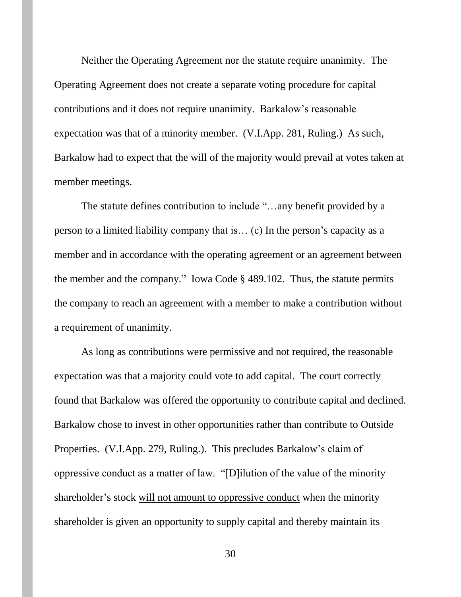Neither the Operating Agreement nor the statute require unanimity. The Operating Agreement does not create a separate voting procedure for capital contributions and it does not require unanimity. Barkalow's reasonable expectation was that of a minority member. (V.I.App. 281, Ruling.) As such, Barkalow had to expect that the will of the majority would prevail at votes taken at member meetings.

The statute defines contribution to include "…any benefit provided by a person to a limited liability company that is… (c) In the person's capacity as a member and in accordance with the operating agreement or an agreement between the member and the company." Iowa Code § 489.102. Thus, the statute permits the company to reach an agreement with a member to make a contribution without a requirement of unanimity.

As long as contributions were permissive and not required, the reasonable expectation was that a majority could vote to add capital. The court correctly found that Barkalow was offered the opportunity to contribute capital and declined. Barkalow chose to invest in other opportunities rather than contribute to Outside Properties. (V.I.App. 279, Ruling.). This precludes Barkalow's claim of oppressive conduct as a matter of law. "[D]ilution of the value of the minority shareholder's stock will not amount to oppressive conduct when the minority shareholder is given an opportunity to supply capital and thereby maintain its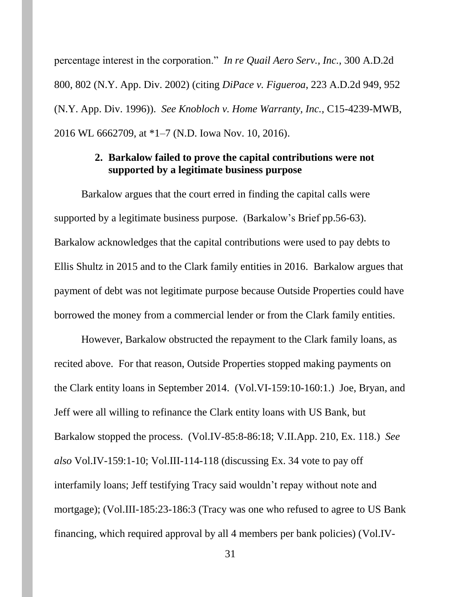percentage interest in the corporation." *In re Quail Aero Serv., Inc.,* 300 A.D.2d 800, 802 (N.Y. App. Div. 2002) (citing *DiPace v. Figueroa*, 223 A.D.2d 949, 952 (N.Y. App. Div. 1996)). *See Knobloch v. Home Warranty, Inc.,* C15-4239-MWB, 2016 WL 6662709, at \*1–7 (N.D. Iowa Nov. 10, 2016).

## **2. Barkalow failed to prove the capital contributions were not supported by a legitimate business purpose**

Barkalow argues that the court erred in finding the capital calls were supported by a legitimate business purpose. (Barkalow's Brief pp.56-63). Barkalow acknowledges that the capital contributions were used to pay debts to Ellis Shultz in 2015 and to the Clark family entities in 2016. Barkalow argues that payment of debt was not legitimate purpose because Outside Properties could have borrowed the money from a commercial lender or from the Clark family entities.

However, Barkalow obstructed the repayment to the Clark family loans, as recited above. For that reason, Outside Properties stopped making payments on the Clark entity loans in September 2014. (Vol.VI-159:10-160:1.) Joe, Bryan, and Jeff were all willing to refinance the Clark entity loans with US Bank, but Barkalow stopped the process. (Vol.IV-85:8-86:18; V.II.App. 210, Ex. 118.) *See also* Vol.IV-159:1-10; Vol.III-114-118 (discussing Ex. 34 vote to pay off interfamily loans; Jeff testifying Tracy said wouldn't repay without note and mortgage); (Vol.III-185:23-186:3 (Tracy was one who refused to agree to US Bank financing, which required approval by all 4 members per bank policies) (Vol.IV-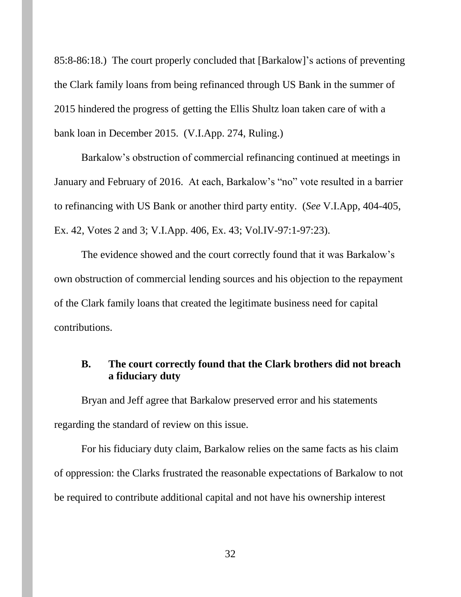85:8-86:18.) The court properly concluded that [Barkalow]'s actions of preventing the Clark family loans from being refinanced through US Bank in the summer of 2015 hindered the progress of getting the Ellis Shultz loan taken care of with a bank loan in December 2015. (V.I.App. 274, Ruling.)

Barkalow's obstruction of commercial refinancing continued at meetings in January and February of 2016. At each, Barkalow's "no" vote resulted in a barrier to refinancing with US Bank or another third party entity. (*See* V.I.App, 404-405, Ex. 42, Votes 2 and 3; V.I.App. 406, Ex. 43; Vol.IV-97:1-97:23).

The evidence showed and the court correctly found that it was Barkalow's own obstruction of commercial lending sources and his objection to the repayment of the Clark family loans that created the legitimate business need for capital contributions.

## **B. The court correctly found that the Clark brothers did not breach a fiduciary duty**

Bryan and Jeff agree that Barkalow preserved error and his statements regarding the standard of review on this issue.

For his fiduciary duty claim, Barkalow relies on the same facts as his claim of oppression: the Clarks frustrated the reasonable expectations of Barkalow to not be required to contribute additional capital and not have his ownership interest

32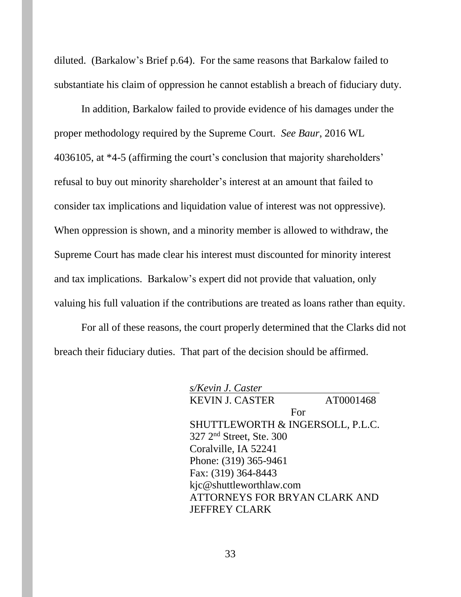diluted. (Barkalow's Brief p.64). For the same reasons that Barkalow failed to substantiate his claim of oppression he cannot establish a breach of fiduciary duty.

In addition, Barkalow failed to provide evidence of his damages under the proper methodology required by the Supreme Court. *See Baur*, 2016 WL 4036105, at \*4-5 (affirming the court's conclusion that majority shareholders' refusal to buy out minority shareholder's interest at an amount that failed to consider tax implications and liquidation value of interest was not oppressive). When oppression is shown, and a minority member is allowed to withdraw, the Supreme Court has made clear his interest must discounted for minority interest and tax implications. Barkalow's expert did not provide that valuation, only valuing his full valuation if the contributions are treated as loans rather than equity.

For all of these reasons, the court properly determined that the Clarks did not breach their fiduciary duties. That part of the decision should be affirmed.

| s/Kevin J. Caster                |           |
|----------------------------------|-----------|
| <b>KEVIN J. CASTER</b>           | AT0001468 |
|                                  | For       |
| SHUTTLEWORTH & INGERSOLL, P.L.C. |           |
| $327$ $2nd$ Street, Ste. 300     |           |
| Coralville, IA 52241             |           |
| Phone: (319) 365-9461            |           |
| Fax: (319) 364-8443              |           |
| kjc@shuttleworthlaw.com          |           |
| ATTORNEYS FOR BRYAN CLARK AND    |           |
| <b>JEFFREY CLARK</b>             |           |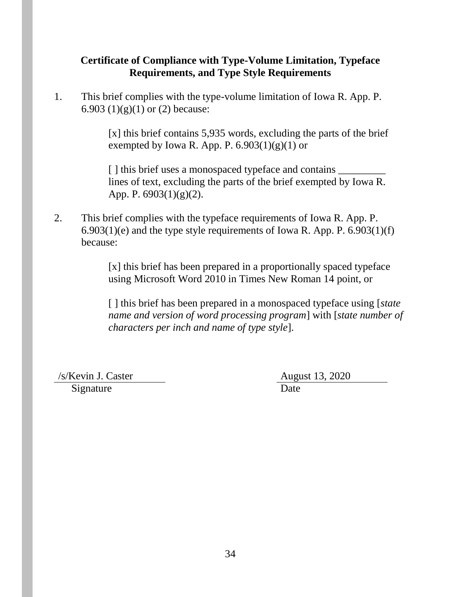# **Certificate of Compliance with Type-Volume Limitation, Typeface Requirements, and Type Style Requirements**

1. This brief complies with the type-volume limitation of Iowa R. App. P. 6.903 (1)(g)(1) or (2) because:

> [x] this brief contains 5,935 words, excluding the parts of the brief exempted by Iowa R. App. P.  $6.903(1)(g)(1)$  or

[] this brief uses a monospaced typeface and contains  $\frac{1}{\sqrt{2\pi}}$ lines of text, excluding the parts of the brief exempted by Iowa R. App. P. 6903(1)(g)(2).

2. This brief complies with the typeface requirements of Iowa R. App. P.  $6.903(1)(e)$  and the type style requirements of Iowa R. App. P.  $6.903(1)(f)$ because:

> [x] this brief has been prepared in a proportionally spaced typeface using Microsoft Word 2010 in Times New Roman 14 point, or

[ ] this brief has been prepared in a monospaced typeface using [*state name and version of word processing program*] with [*state number of characters per inch and name of type style*].

/s/Kevin J. Caster August 13, 2020

Signature Date